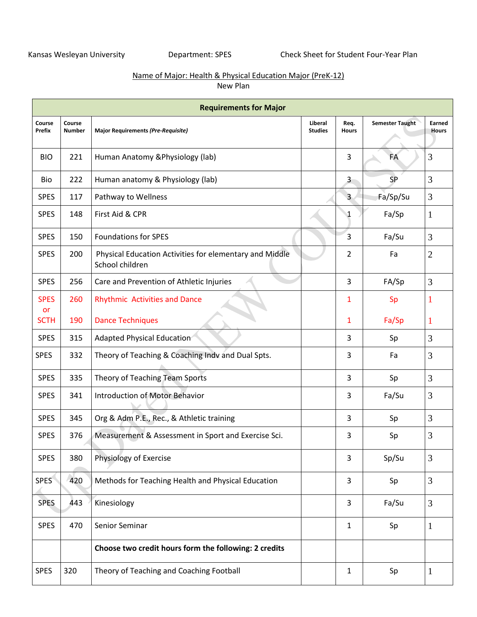## Name of Major: Health & Physical Education Major (PreK-12) New Plan

|                   |                         | <b>Requirements for Major</b>                                              |                           |                      |                        |                        |
|-------------------|-------------------------|----------------------------------------------------------------------------|---------------------------|----------------------|------------------------|------------------------|
| Course<br>Prefix  | Course<br><b>Number</b> | <b>Major Requirements (Pre-Requisite)</b>                                  | Liberal<br><b>Studies</b> | Req.<br><b>Hours</b> | <b>Semester Taught</b> | Earned<br><b>Hours</b> |
| <b>BIO</b>        | 221                     | Human Anatomy & Physiology (lab)                                           |                           | 3                    | <b>FA</b>              | 3                      |
| Bio               | 222                     | Human anatomy & Physiology (lab)                                           |                           | $\overline{3}$       | <b>SP</b>              | 3                      |
| <b>SPES</b>       | 117                     | Pathway to Wellness                                                        |                           | 3                    | Fa/Sp/Su               | 3                      |
| <b>SPES</b>       | 148                     | First Aid & CPR                                                            |                           | 1                    | Fa/Sp                  | 1                      |
| <b>SPES</b>       | 150                     | <b>Foundations for SPES</b>                                                | 3                         | Fa/Su                | 3                      |                        |
| <b>SPES</b>       | 200                     | Physical Education Activities for elementary and Middle<br>School children |                           | $\overline{2}$       | Fa                     | $\overline{2}$         |
| <b>SPES</b>       | 256                     | Care and Prevention of Athletic Injuries                                   |                           | 3                    | FA/Sp                  | 3                      |
| <b>SPES</b><br>or | 260                     | <b>Rhythmic Activities and Dance</b>                                       |                           | 1                    | Sp                     | -1                     |
| <b>SCTH</b>       | 190                     | <b>Dance Techniques</b>                                                    |                           | 1                    | Fa/Sp                  | 1                      |
| <b>SPES</b>       | 315                     | Adapted Physical Education                                                 |                           | 3                    | Sp                     | 3                      |
| <b>SPES</b>       | 332                     | Theory of Teaching & Coaching Indv and Dual Spts.                          |                           | 3                    | Fa                     | 3                      |
| <b>SPES</b>       | 335                     | Theory of Teaching Team Sports                                             |                           | 3                    | Sp                     | 3                      |
| <b>SPES</b>       | 341                     | <b>Introduction of Motor Behavior</b>                                      |                           | 3                    | Fa/Su                  | 3                      |
| <b>SPES</b>       | 345                     | Org & Adm P.E., Rec., & Athletic training                                  |                           | 3                    | Sp                     | 3                      |
| <b>SPES</b>       | 376                     | Measurement & Assessment in Sport and Exercise Sci.                        |                           | 3                    | Sp                     | 3                      |
| <b>SPES</b>       | 380                     | Physiology of Exercise                                                     |                           | 3                    | Sp/Su                  | 3                      |
| <b>SPES</b>       | 420                     | Methods for Teaching Health and Physical Education                         |                           | 3                    | Sp                     | $\mathfrak{Z}$         |
| <b>SPES</b>       | 443                     | Kinesiology                                                                |                           | 3                    | Fa/Su                  | $\mathfrak{Z}$         |
| <b>SPES</b>       | 470                     | Senior Seminar                                                             |                           | 1                    | Sp                     | 1                      |
|                   |                         | Choose two credit hours form the following: 2 credits                      |                           |                      |                        |                        |
| <b>SPES</b>       | 320                     | Theory of Teaching and Coaching Football                                   |                           | 1                    | Sp                     | $\mathbf{1}$           |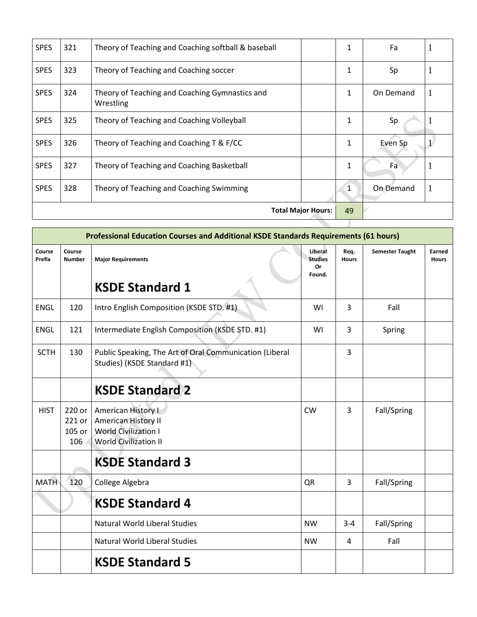| <b>SPES</b>                     | 321 | Theory of Teaching and Coaching softball & baseball         | 1            | Fa        |   |  |
|---------------------------------|-----|-------------------------------------------------------------|--------------|-----------|---|--|
| <b>SPES</b>                     | 323 | Theory of Teaching and Coaching soccer                      | 1            | Sp        |   |  |
| <b>SPES</b>                     | 324 | Theory of Teaching and Coaching Gymnastics and<br>Wrestling | 1            | On Demand | 1 |  |
| <b>SPES</b>                     | 325 | Theory of Teaching and Coaching Volleyball                  | 1            | Sp        |   |  |
| <b>SPES</b>                     | 326 | Theory of Teaching and Coaching T & F/CC                    | 1            | Even Sp   |   |  |
| <b>SPES</b>                     | 327 | Theory of Teaching and Coaching Basketball                  | $\mathbf{1}$ | Fa        |   |  |
| <b>SPES</b>                     | 328 | Theory of Teaching and Coaching Swimming                    | $\mathbf{1}$ | On Demand | 1 |  |
| 49<br><b>Total Major Hours:</b> |     |                                                             |              |           |   |  |
|                                 |     |                                                             |              |           |   |  |

|                  |                                   | Professional Education Courses and Additional KSDE Standards Requirements (61 hours)                            |           |                      |                        |                        |
|------------------|-----------------------------------|-----------------------------------------------------------------------------------------------------------------|-----------|----------------------|------------------------|------------------------|
| Course<br>Prefix | Course<br><b>Number</b>           | <b>Major Requirements</b>                                                                                       |           | Req.<br><b>Hours</b> | <b>Semester Taught</b> | Earned<br><b>Hours</b> |
|                  |                                   | <b>KSDE Standard 1</b>                                                                                          |           |                      |                        |                        |
| <b>ENGL</b>      | 120                               | Intro English Composition (KSDE STD. #1)                                                                        | WI        | 3                    | Fall                   |                        |
| <b>ENGL</b>      | 121                               | Intermediate English Composition (KSDE STD. #1)                                                                 | WI        | 3                    | Spring                 |                        |
| <b>SCTH</b>      | 130                               | Public Speaking, The Art of Oral Communication (Liberal<br>Studies) (KSDE Standard #1)                          |           | 3                    |                        |                        |
|                  |                                   | <b>KSDE Standard 2</b>                                                                                          |           |                      |                        |                        |
| <b>HIST</b>      | 220 or<br>221 or<br>105 or<br>106 | <b>American History I</b><br>American History II<br><b>World Civilization I</b><br><b>World Civilization II</b> | <b>CW</b> | 3                    | Fall/Spring            |                        |
|                  |                                   | <b>KSDE Standard 3</b>                                                                                          |           |                      |                        |                        |
| <b>MATH</b>      | 120                               | College Algebra                                                                                                 | QR        | 3                    | Fall/Spring            |                        |
|                  |                                   | <b>KSDE Standard 4</b>                                                                                          |           |                      |                        |                        |
|                  |                                   | Natural World Liberal Studies                                                                                   | <b>NW</b> | $3 - 4$              | Fall/Spring            |                        |
|                  |                                   | <b>Natural World Liberal Studies</b>                                                                            | <b>NW</b> | 4                    | Fall                   |                        |
|                  |                                   | <b>KSDE Standard 5</b>                                                                                          |           |                      |                        |                        |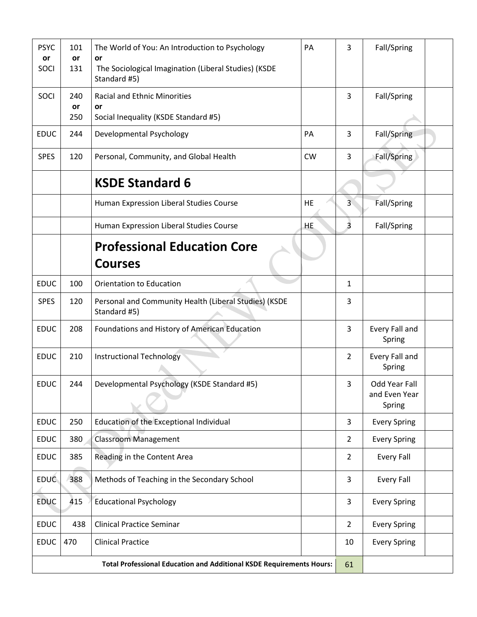| <b>PSYC</b><br>or<br>SOCI | 101<br>or<br>131 | The World of You: An Introduction to Psychology<br>or<br>The Sociological Imagination (Liberal Studies) (KSDE<br>Standard #5) | PA        | 3              | Fall/Spring                              |  |
|---------------------------|------------------|-------------------------------------------------------------------------------------------------------------------------------|-----------|----------------|------------------------------------------|--|
| SOCI                      | 240              | <b>Racial and Ethnic Minorities</b>                                                                                           |           | 3              | Fall/Spring                              |  |
|                           | or<br>250        | or<br>Social Inequality (KSDE Standard #5)                                                                                    |           |                |                                          |  |
| <b>EDUC</b>               | 244              | Developmental Psychology                                                                                                      | PA        | 3              | Fall/Spring                              |  |
| <b>SPES</b>               | 120              | Personal, Community, and Global Health                                                                                        | <b>CW</b> | 3              | Fall/Spring                              |  |
|                           |                  | <b>KSDE Standard 6</b>                                                                                                        |           |                |                                          |  |
|                           |                  | Human Expression Liberal Studies Course                                                                                       | <b>HE</b> | 3              | Fall/Spring                              |  |
|                           |                  | Human Expression Liberal Studies Course                                                                                       | HE.       | $\overline{3}$ | Fall/Spring                              |  |
|                           |                  | <b>Professional Education Core</b>                                                                                            |           |                |                                          |  |
|                           |                  | <b>Courses</b>                                                                                                                |           |                |                                          |  |
| <b>EDUC</b>               | 100              | <b>Orientation to Education</b>                                                                                               |           | 1              |                                          |  |
| <b>SPES</b>               | 120              | Personal and Community Health (Liberal Studies) (KSDE<br>Standard #5)                                                         |           | 3              |                                          |  |
| <b>EDUC</b>               | 208              | Foundations and History of American Education                                                                                 |           | 3              | Every Fall and<br>Spring                 |  |
| <b>EDUC</b>               | 210              | <b>Instructional Technology</b>                                                                                               |           | 2              | Every Fall and<br>Spring                 |  |
| <b>EDUC</b>               | 244              | Developmental Psychology (KSDE Standard #5)                                                                                   |           | 3              | Odd Year Fall<br>and Even Year<br>Spring |  |
| <b>EDUC</b>               | 250              | Education of the Exceptional Individual                                                                                       |           | 3              | <b>Every Spring</b>                      |  |
| <b>EDUC</b>               | 380              | <b>Classroom Management</b>                                                                                                   |           | $\overline{2}$ | <b>Every Spring</b>                      |  |
| <b>EDUC</b>               | 385              | Reading in the Content Area                                                                                                   |           | $\overline{2}$ | <b>Every Fall</b>                        |  |
| <b>EDUC</b>               | 388              | Methods of Teaching in the Secondary School                                                                                   |           | 3              | <b>Every Fall</b>                        |  |
| <b>EDUC</b>               | 415              | <b>Educational Psychology</b>                                                                                                 |           | 3              | <b>Every Spring</b>                      |  |
| <b>EDUC</b>               | 438              | <b>Clinical Practice Seminar</b>                                                                                              |           | $\overline{2}$ | <b>Every Spring</b>                      |  |
| <b>EDUC</b>               | 470              | <b>Clinical Practice</b>                                                                                                      |           | 10             | <b>Every Spring</b>                      |  |
|                           |                  | <b>Total Professional Education and Additional KSDE Requirements Hours:</b>                                                   | 61        |                |                                          |  |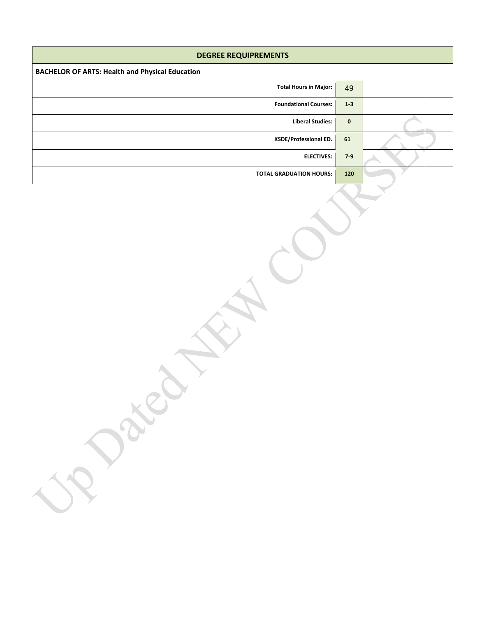| <b>DEGREE REQUIPREMENTS</b>                            |              |  |  |  |  |  |  |  |
|--------------------------------------------------------|--------------|--|--|--|--|--|--|--|
| <b>BACHELOR OF ARTS: Health and Physical Education</b> |              |  |  |  |  |  |  |  |
| <b>Total Hours in Major:</b>                           | 49           |  |  |  |  |  |  |  |
| <b>Foundational Courses:</b>                           | $1-3$        |  |  |  |  |  |  |  |
| <b>Liberal Studies:</b>                                | $\mathbf{0}$ |  |  |  |  |  |  |  |
| <b>KSDE/Professional ED.</b>                           | 61           |  |  |  |  |  |  |  |
| <b>ELECTIVES:</b>                                      | $7-9$        |  |  |  |  |  |  |  |
| <b>TOTAL GRADUATION HOURS:</b>                         | 120          |  |  |  |  |  |  |  |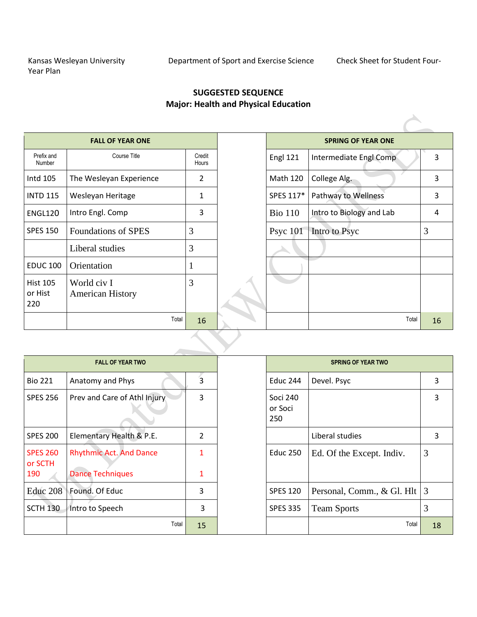## **SUGGESTED SEQUENCE Major: Health and Physical Education**

|                                   | <b>FALL OF YEAR ONE</b>                |                 |                 | <b>SPRING OF YEAR ONE</b> |    |
|-----------------------------------|----------------------------------------|-----------------|-----------------|---------------------------|----|
| Prefix and<br>Number              | Course Title                           | Credit<br>Hours | <b>Engl 121</b> | Intermediate Engl Comp    | 3  |
| Intd 105                          | The Wesleyan Experience                | $\overline{2}$  | <b>Math 120</b> | College Alg.              | 3  |
| <b>INTD 115</b>                   | Wesleyan Heritage                      | 1               | SPES 117*       | Pathway to Wellness       | 3  |
| ENGL120                           | Intro Engl. Comp                       | 3               | <b>Bio 110</b>  | Intro to Biology and Lab  | 4  |
| <b>SPES 150</b>                   | <b>Foundations of SPES</b>             | 3               | Psyc $101$      | Intro to Psyc             | 3  |
|                                   | Liberal studies                        | 3               |                 |                           |    |
| <b>EDUC 100</b>                   | Orientation                            |                 |                 |                           |    |
| <b>Hist 105</b><br>or Hist<br>220 | World civ I<br><b>American History</b> | 3               |                 |                           |    |
|                                   | Total                                  | 16              |                 | Total                     | 16 |
|                                   |                                        |                 |                 |                           |    |

|                            | <b>FALL OF YEAR TWO</b>        |                | <b>SPRING OF YEAR TWO</b>         |                                |    |
|----------------------------|--------------------------------|----------------|-----------------------------------|--------------------------------|----|
| <b>Bio 221</b>             | Anatomy and Phys               | 3              | <b>Educ 244</b>                   | Devel. Psyc                    | 3  |
| <b>SPES 256</b>            | Prev and Care of Athl Injury   | 3              | <b>Soci 240</b><br>or Soci<br>250 |                                | 3  |
| <b>SPES 200</b>            | Elementary Health & P.E.       | $\overline{2}$ |                                   | Liberal studies                | 3  |
| <b>SPES 260</b><br>or SCTH | <b>Rhythmic Act. And Dance</b> |                | <b>Educ 250</b>                   | Ed. Of the Except. Indiv.      | 3  |
| 190                        | <b>Dance Techniques</b>        | 1              |                                   |                                |    |
| Educ 208                   | Found. Of Educ                 | 3              | <b>SPES 120</b>                   | Personal, Comm., & Gl. Hlt   3 |    |
| <b>SCTH 130</b>            | Intro to Speech                | 3              | <b>SPES 335</b>                   | <b>Team Sports</b>             | 3  |
|                            | Total                          | 15             |                                   | Total                          | 18 |